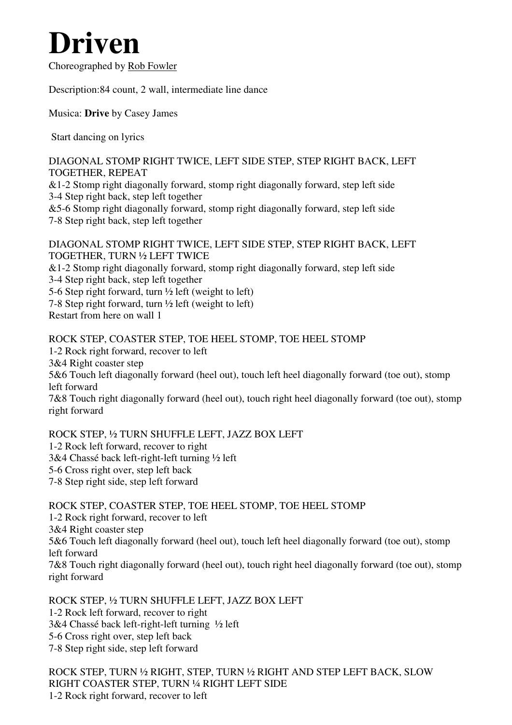# **Driven**

Choreographed by Rob Fowler

Description:84 count, 2 wall, intermediate line dance

Musica: **Drive** by Casey James

Start dancing on lyrics

DIAGONAL STOMP RIGHT TWICE, LEFT SIDE STEP, STEP RIGHT BACK, LEFT TOGETHER, REPEAT

&1-2 Stomp right diagonally forward, stomp right diagonally forward, step left side 3-4 Step right back, step left together

&5-6 Stomp right diagonally forward, stomp right diagonally forward, step left side 7-8 Step right back, step left together

#### DIAGONAL STOMP RIGHT TWICE, LEFT SIDE STEP, STEP RIGHT BACK, LEFT TOGETHER, TURN ½ LEFT TWICE

&1-2 Stomp right diagonally forward, stomp right diagonally forward, step left side

3-4 Step right back, step left together

5-6 Step right forward, turn  $\frac{1}{2}$  left (weight to left)

7-8 Step right forward, turn  $\frac{1}{2}$  left (weight to left)

Restart from here on wall 1

ROCK STEP, COASTER STEP, TOE HEEL STOMP, TOE HEEL STOMP 1-2 Rock right forward, recover to left 3&4 Right coaster step 5&6 Touch left diagonally forward (heel out), touch left heel diagonally forward (toe out), stomp left forward 7&8 Touch right diagonally forward (heel out), touch right heel diagonally forward (toe out), stomp right forward

ROCK STEP, ½ TURN SHUFFLE LEFT, JAZZ BOX LEFT 1-2 Rock left forward, recover to right 3&4 Chassé back left-right-left turning ½ left 5-6 Cross right over, step left back 7-8 Step right side, step left forward

ROCK STEP, COASTER STEP, TOE HEEL STOMP, TOE HEEL STOMP 1-2 Rock right forward, recover to left 3&4 Right coaster step 5&6 Touch left diagonally forward (heel out), touch left heel diagonally forward (toe out), stomp left forward 7&8 Touch right diagonally forward (heel out), touch right heel diagonally forward (toe out), stomp right forward

ROCK STEP, ½ TURN SHUFFLE LEFT, JAZZ BOX LEFT 1-2 Rock left forward, recover to right 3&4 Chassé back left-right-left turning ½ left 5-6 Cross right over, step left back 7-8 Step right side, step left forward

ROCK STEP, TURN ½ RIGHT, STEP, TURN ½ RIGHT AND STEP LEFT BACK, SLOW RIGHT COASTER STEP, TURN ¼ RIGHT LEFT SIDE 1-2 Rock right forward, recover to left